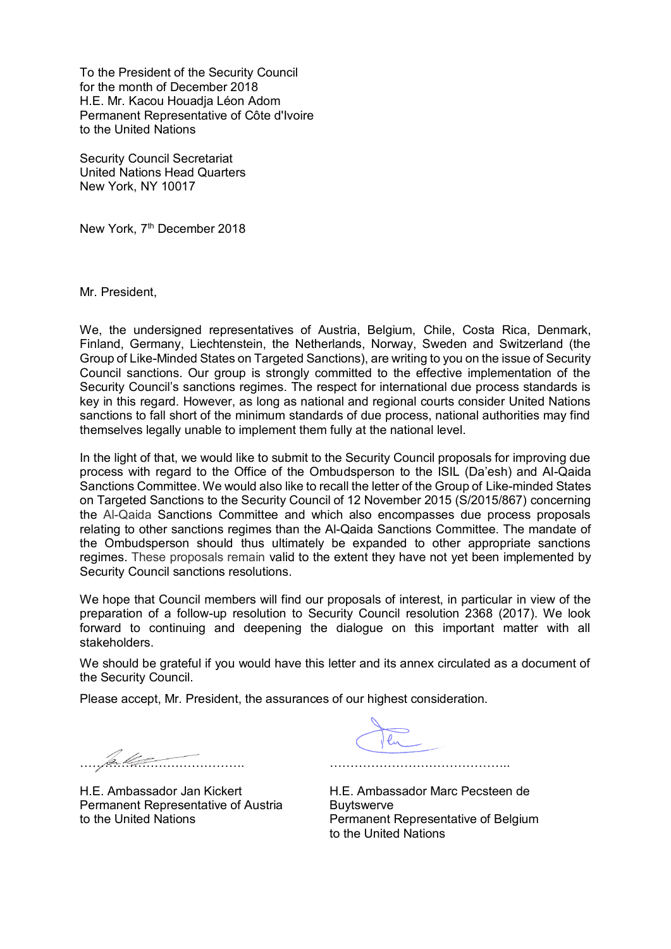To the President of the Security Council for the month of December 2018 H.E. Mr. Kacou Houadja Léon Adom Permanent Representative of Côte d'Ivoire to the United Nations

Security Council Secretariat United Nations Head Quarters New York, NY 10017

New York, 7<sup>th</sup> December 2018

Mr. President,

We, the undersigned representatives of Austria, Belgium, Chile, Costa Rica, Denmark, Finland, Germany, Liechtenstein, the Netherlands, Norway, Sweden and Switzerland (the Group of Like-Minded States on Targeted Sanctions), are writing to you on the issue of Security Council sanctions. Our group is strongly committed to the effective implementation of the Security Council's sanctions regimes. The respect for international due process standards is key in this regard. However, as long as national and regional courts consider United Nations sanctions to fall short of the minimum standards of due process, national authorities may find themselves legally unable to implement them fully at the national level.

In the light of that, we would like to submit to the Security Council proposals for improving due process with regard to the Office of the Ombudsperson to the ISIL (Da'esh) and Al-Qaida Sanctions Committee. We would also like to recall the letter of the Group of Like-minded States on Targeted Sanctions to the Security Council of 12 November 2015 (S/2015/867) concerning the Al-Qaida Sanctions Committee and which also encompasses due process proposals relating to other sanctions regimes than the Al-Qaida Sanctions Committee. The mandate of the Ombudsperson should thus ultimately be expanded to other appropriate sanctions regimes. These proposals remain valid to the extent they have not yet been implemented by Security Council sanctions resolutions.

We hope that Council members will find our proposals of interest, in particular in view of the preparation of a follow-up resolution to Security Council resolution 2368 (2017). We look forward to continuing and deepening the dialogue on this important matter with all stakeholders.

We should be grateful if you would have this letter and its annex circulated as a document of the Security Council.

Please accept, Mr. President, the assurances of our highest consideration.

 $\mathscr{B}_{n}$ 

H.E. Ambassador Jan Kickert Permanent Representative of Austria to the United Nations

……………………………………..

H.E. Ambassador Marc Pecsteen de Buytswerve Permanent Representative of Belgium to the United Nations